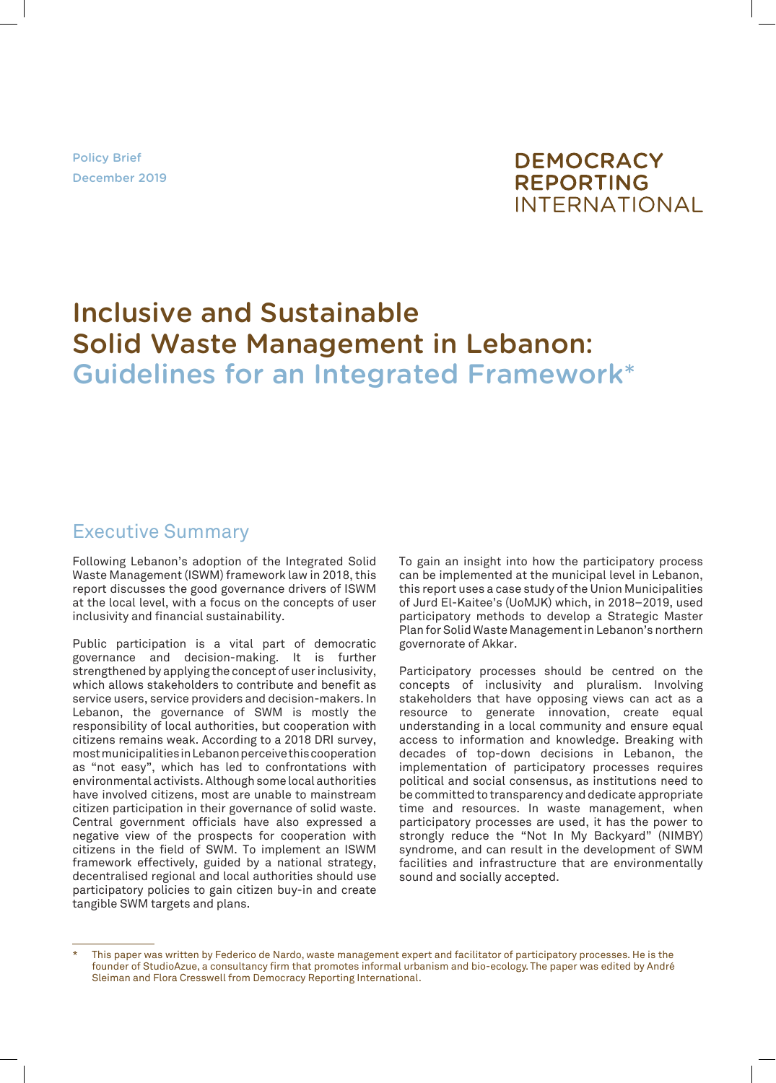Policy Brief December 2019



# Inclusive and Sustainable Solid Waste Management in Lebanon: Guidelines for an Integrated Framework\*

# Executive Summary

Following Lebanon's adoption of the Integrated Solid Waste Management (ISWM) framework law in 2018, this report discusses the good governance drivers of ISWM at the local level, with a focus on the concepts of user inclusivity and financial sustainability.

Public participation is a vital part of democratic governance and decision-making. It is further strengthened by applying the concept of user inclusivity, which allows stakeholders to contribute and benefit as service users, service providers and decision-makers. In Lebanon, the governance of SWM is mostly the responsibility of local authorities, but cooperation with citizens remains weak. According to a 2018 DRI survey, most municipalities in Lebanon perceive this cooperation as "not easy", which has led to confrontations with environmental activists. Although some local authorities have involved citizens, most are unable to mainstream citizen participation in their governance of solid waste. Central government officials have also expressed a negative view of the prospects for cooperation with citizens in the field of SWM. To implement an ISWM framework effectively, guided by a national strategy, decentralised regional and local authorities should use participatory policies to gain citizen buy-in and create tangible SWM targets and plans.

To gain an insight into how the participatory process can be implemented at the municipal level in Lebanon, this report uses a case study of the Union Municipalities of Jurd El-Kaitee's (UoMJK) which, in 2018–2019, used participatory methods to develop a Strategic Master Plan for Solid Waste Management in Lebanon's northern governorate of Akkar.

Participatory processes should be centred on the concepts of inclusivity and pluralism. Involving stakeholders that have opposing views can act as a resource to generate innovation, create equal understanding in a local community and ensure equal access to information and knowledge. Breaking with decades of top-down decisions in Lebanon, the implementation of participatory processes requires political and social consensus, as institutions need to be committed to transparency and dedicate appropriate time and resources. In waste management, when participatory processes are used, it has the power to strongly reduce the "Not In My Backyard" (NIMBY) syndrome, and can result in the development of SWM facilities and infrastructure that are environmentally sound and socially accepted.

This paper was written by Federico de Nardo, waste management expert and facilitator of participatory processes. He is the founder of StudioAzue, a consultancy firm that promotes informal urbanism and bio-ecology. The paper was edited by André Sleiman and Flora Cresswell from Democracy Reporting International.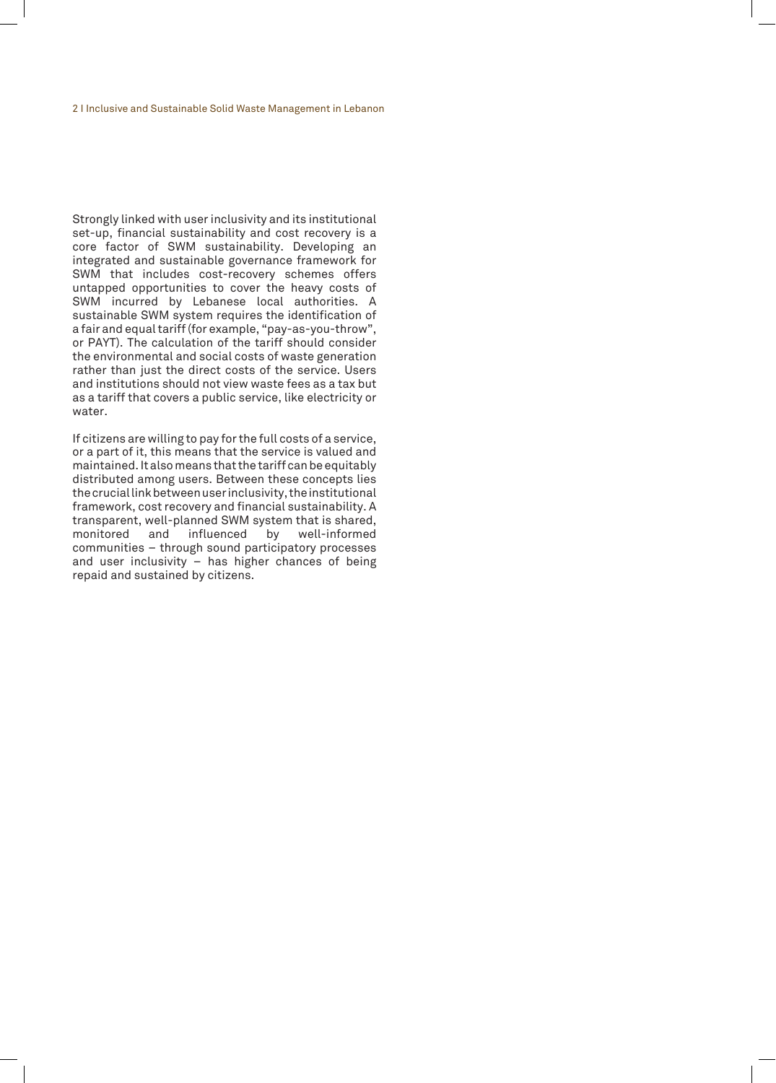Strongly linked with user inclusivity and its institutional set-up, financial sustainability and cost recovery is a core factor of SWM sustainability. Developing an integrated and sustainable governance framework for SWM that includes cost-recovery schemes offers untapped opportunities to cover the heavy costs of SWM incurred by Lebanese local authorities. A sustainable SWM system requires the identification of a fair and equal tariff (for example, "pay-as-you-throw", or PAYT). The calculation of the tariff should consider the environmental and social costs of waste generation rather than just the direct costs of the service. Users and institutions should not view waste fees as a tax but as a tariff that covers a public service, like electricity or water.

If citizens are willing to pay for the full costs of a service, or a part of it, this means that the service is valued and maintained. It also means that the tariff can be equitably distributed among users. Between these concepts lies the crucial link between user inclusivity, the institutional framework, cost recovery and financial sustainability. A transparent, well-planned SWM system that is shared, monitored and influenced by well-informed communities – through sound participatory processes and user inclusivity – has higher chances of being repaid and sustained by citizens.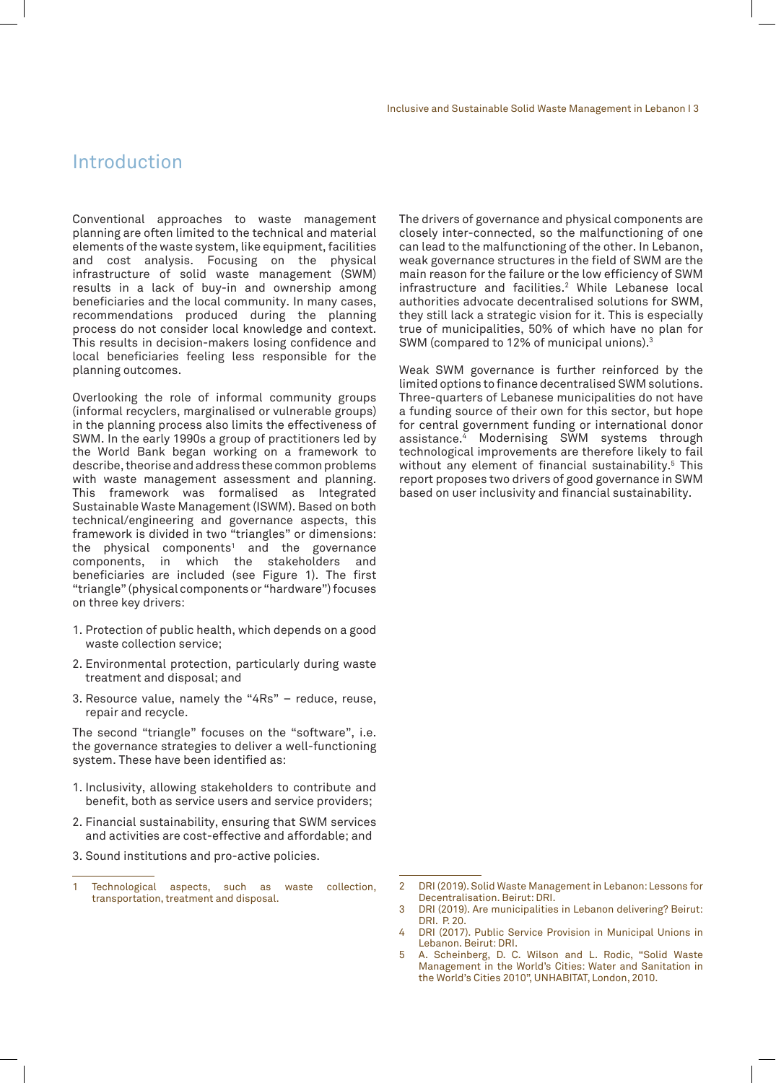# Introduction

Conventional approaches to waste management planning are often limited to the technical and material elements of the waste system, like equipment, facilities and cost analysis. Focusing on the physical infrastructure of solid waste management (SWM) results in a lack of buy-in and ownership among beneficiaries and the local community. In many cases, recommendations produced during the planning process do not consider local knowledge and context. This results in decision-makers losing confidence and local beneficiaries feeling less responsible for the planning outcomes.

Overlooking the role of informal community groups (informal recyclers, marginalised or vulnerable groups) in the planning process also limits the effectiveness of SWM. In the early 1990s a group of practitioners led by the World Bank began working on a framework to describe, theorise and address these common problems with waste management assessment and planning. This framework was formalised as Integrated Sustainable Waste Management (ISWM). Based on both technical/engineering and governance aspects, this framework is divided in two "triangles" or dimensions: the physical components $^1$  and the governance components, in which the stakeholders and beneficiaries are included (see Figure 1). The first "triangle" (physical components or "hardware") focuses on three key drivers:

- 1. Protection of public health, which depends on a good waste collection service;
- 2. Environmental protection, particularly during waste treatment and disposal; and
- 3. Resource value, namely the "4Rs" reduce, reuse, repair and recycle.

The second "triangle" focuses on the "software", i.e. the governance strategies to deliver a well-functioning system. These have been identified as:

- 1. Inclusivity, allowing stakeholders to contribute and benefit, both as service users and service providers;
- 2. Financial sustainability, ensuring that SWM services and activities are cost-effective and affordable; and

3. Sound institutions and pro-active policies.

The drivers of governance and physical components are closely inter-connected, so the malfunctioning of one can lead to the malfunctioning of the other. In Lebanon, weak governance structures in the field of SWM are the main reason for the failure or the low efficiency of SWM infrastructure and facilities.2 While Lebanese local authorities advocate decentralised solutions for SWM, they still lack a strategic vision for it. This is especially true of municipalities, 50% of which have no plan for SWM (compared to 12% of municipal unions).<sup>3</sup>

Weak SWM governance is further reinforced by the limited options to finance decentralised SWM solutions. Three-quarters of Lebanese municipalities do not have a funding source of their own for this sector, but hope for central government funding or international donor assistance.4 Modernising SWM systems through technological improvements are therefore likely to fail without any element of financial sustainability.5 This report proposes two drivers of good governance in SWM based on user inclusivity and financial sustainability.

<sup>1</sup> Technological aspects, such as waste collection, transportation, treatment and disposal.

<sup>2</sup> DRI (2019). Solid Waste Management in Lebanon: Lessons for Decentralisation. Beirut: DRI.

<sup>3</sup> DRI (2019). Are municipalities in Lebanon delivering? Beirut: DRI. P. 20.

<sup>4</sup> DRI (2017). Public Service Provision in Municipal Unions in Lebanon. Beirut: DRI.

<sup>5</sup> A. Scheinberg, D. C. Wilson and L. Rodic, "Solid Waste Management in the World's Cities: Water and Sanitation in the World's Cities 2010", UNHABITAT, London, 2010.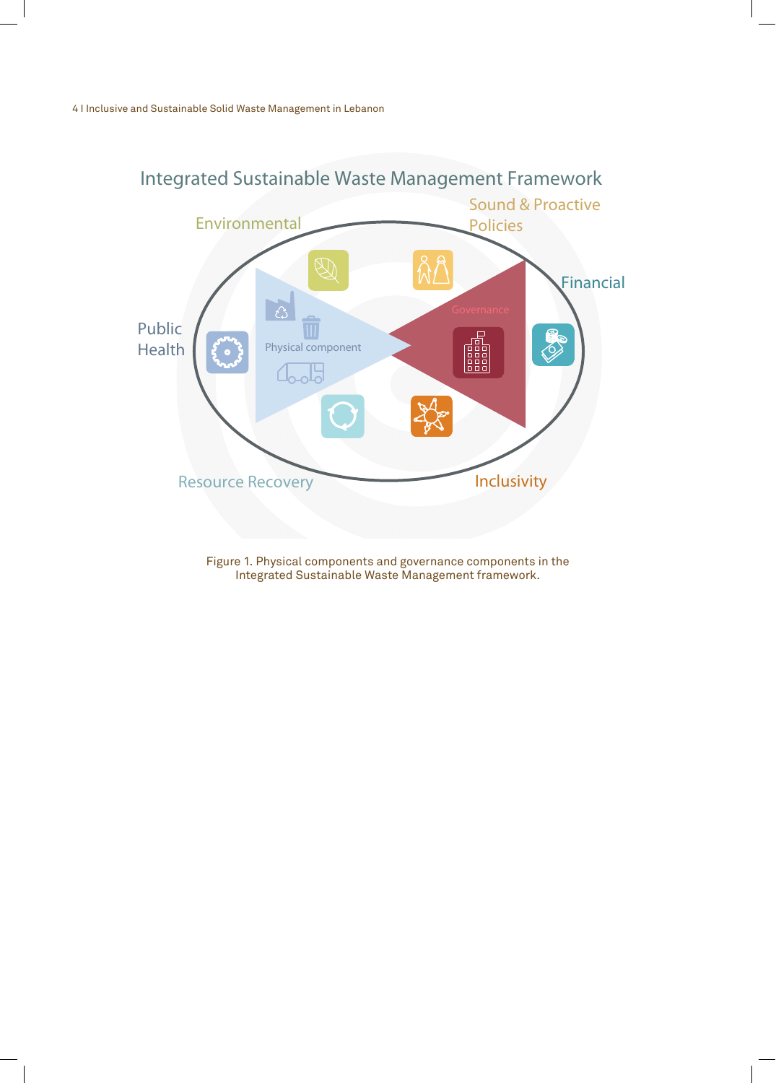

Figure 1. Physical components and governance components in the Integrated Sustainable Waste Management framework.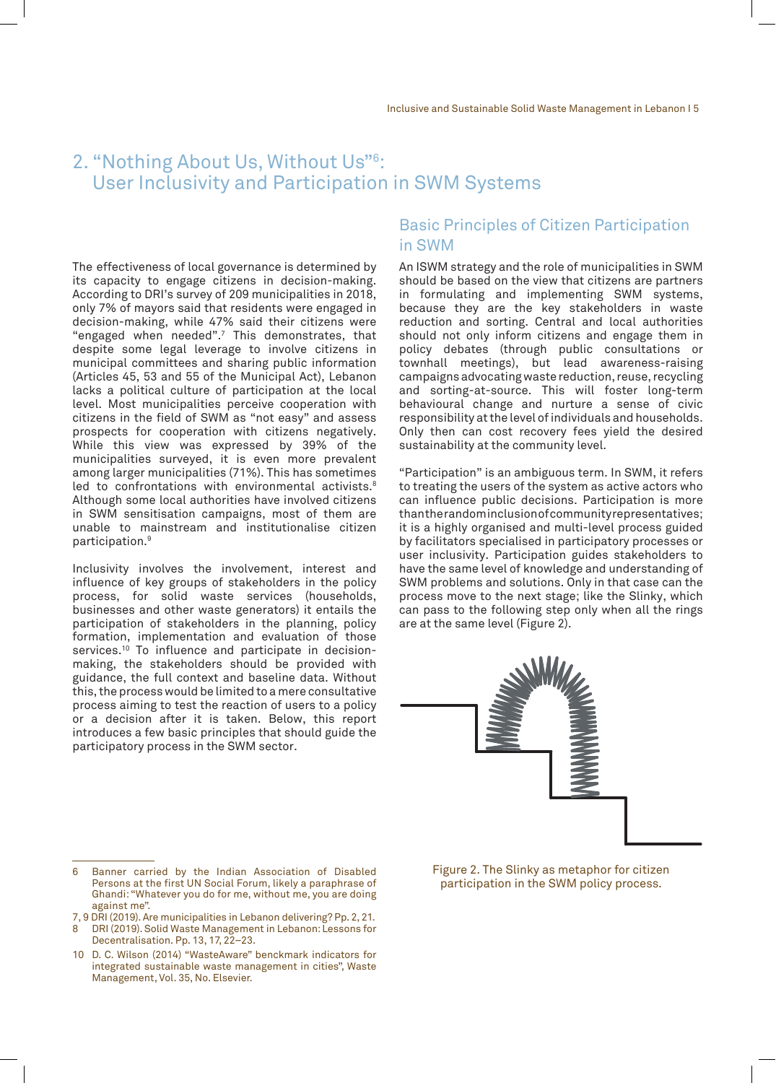# 2. "Nothing About Us, Without Us"6 : User Inclusivity and Participation in SWM Systems

The effectiveness of local governance is determined by its capacity to engage citizens in decision-making. According to DRI's survey of 209 municipalities in 2018, only 7% of mayors said that residents were engaged in decision-making, while 47% said their citizens were "engaged when needed".7 This demonstrates, that despite some legal leverage to involve citizens in municipal committees and sharing public information (Articles 45, 53 and 55 of the Municipal Act), Lebanon lacks a political culture of participation at the local level. Most municipalities perceive cooperation with citizens in the field of SWM as "not easy" and assess prospects for cooperation with citizens negatively. While this view was expressed by 39% of the municipalities surveyed, it is even more prevalent among larger municipalities (71%). This has sometimes led to confrontations with environmental activists.<sup>8</sup> Although some local authorities have involved citizens in SWM sensitisation campaigns, most of them are unable to mainstream and institutionalise citizen participation.9

Inclusivity involves the involvement, interest and influence of key groups of stakeholders in the policy process, for solid waste services (households, businesses and other waste generators) it entails the participation of stakeholders in the planning, policy formation, implementation and evaluation of those services.<sup>10</sup> To influence and participate in decisionmaking, the stakeholders should be provided with guidance, the full context and baseline data. Without this, the process would be limited to a mere consultative process aiming to test the reaction of users to a policy or a decision after it is taken. Below, this report introduces a few basic principles that should guide the participatory process in the SWM sector.

### Basic Principles of Citizen Participation in SWM

An ISWM strategy and the role of municipalities in SWM should be based on the view that citizens are partners in formulating and implementing SWM systems, because they are the key stakeholders in waste reduction and sorting. Central and local authorities should not only inform citizens and engage them in policy debates (through public consultations or townhall meetings), but lead awareness-raising campaigns advocating waste reduction, reuse, recycling and sorting-at-source. This will foster long-term behavioural change and nurture a sense of civic responsibility at the level of individuals and households. Only then can cost recovery fees yield the desired sustainability at the community level.

"Participation" is an ambiguous term. In SWM, it refers to treating the users of the system as active actors who can influence public decisions. Participation is more than the random inclusion of community representatives; it is a highly organised and multi-level process guided by facilitators specialised in participatory processes or user inclusivity. Participation guides stakeholders to have the same level of knowledge and understanding of SWM problems and solutions. Only in that case can the process move to the next stage; like the Slinky, which can pass to the following step only when all the rings are at the same level (Figure 2).



<sup>6</sup> Banner carried by the Indian Association of Disabled Persons at the first UN Social Forum, likely a paraphrase of Ghandi: "Whatever you do for me, without me, you are doing against me".

7, 9 DRI (2019). Are municipalities in Lebanon delivering? Pp. 2, 21. 8 DRI (2019). Solid Waste Management in Lebanon: Lessons for

Figure 2. The Slinky as metaphor for citizen participation in the SWM policy process.

Decentralisation. Pp. 13, 17, 22–23. 10 D. C. Wilson (2014) "WasteAware" benckmark indicators for integrated sustainable waste management in cities", Waste Management, Vol. 35, No. Elsevier.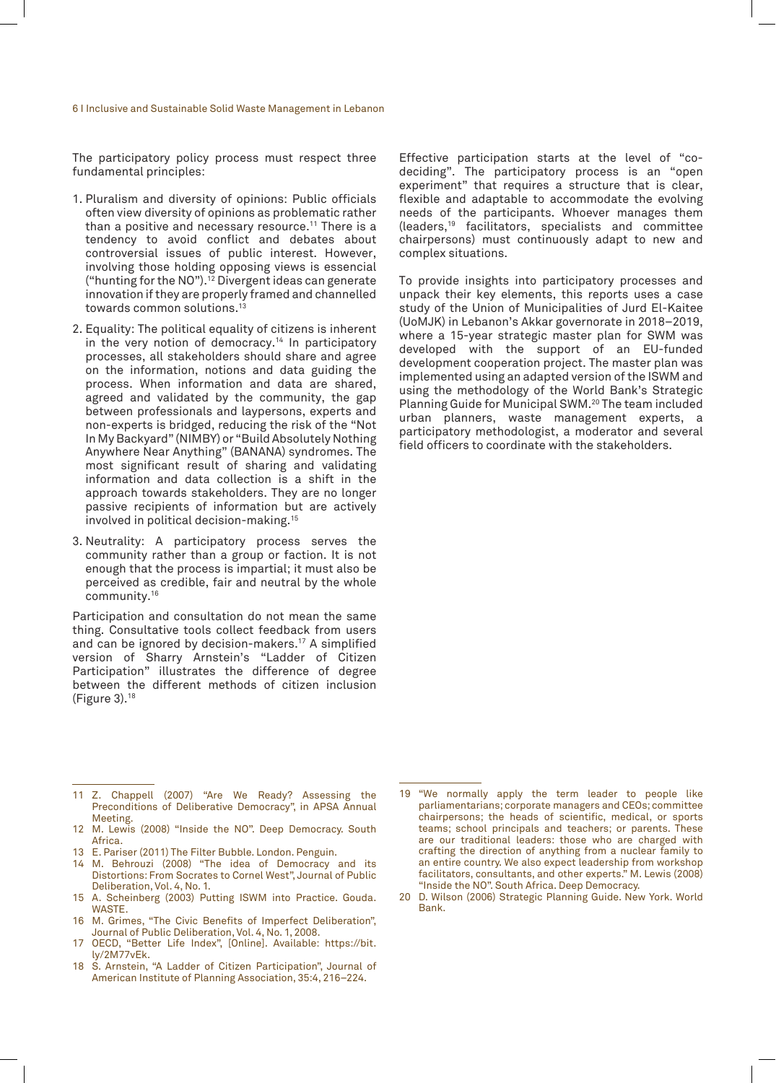The participatory policy process must respect three fundamental principles:

- 1. Pluralism and diversity of opinions: Public officials often view diversity of opinions as problematic rather than a positive and necessary resource.<sup>11</sup> There is a tendency to avoid conflict and debates about controversial issues of public interest. However, involving those holding opposing views is essencial ("hunting for the NO").<sup>12</sup> Divergent ideas can generate innovation if they are properly framed and channelled towards common solutions.13
- 2. Equality: The political equality of citizens is inherent in the very notion of democracy.<sup>14</sup> In participatory processes, all stakeholders should share and agree on the information, notions and data guiding the process. When information and data are shared, agreed and validated by the community, the gap between professionals and laypersons, experts and non-experts is bridged, reducing the risk of the "Not In My Backyard" (NIMBY) or "Build Absolutely Nothing Anywhere Near Anything" (BANANA) syndromes. The most significant result of sharing and validating information and data collection is a shift in the approach towards stakeholders. They are no longer passive recipients of information but are actively involved in political decision-making.15
- 3. Neutrality: A participatory process serves the community rather than a group or faction. It is not enough that the process is impartial; it must also be perceived as credible, fair and neutral by the whole community.16

Participation and consultation do not mean the same thing. Consultative tools collect feedback from users and can be ignored by decision-makers.17 A simplified version of Sharry Arnstein's "Ladder of Citizen Participation" illustrates the difference of degree between the different methods of citizen inclusion (Figure 3).18

Effective participation starts at the level of "codeciding". The participatory process is an "open experiment" that requires a structure that is clear, flexible and adaptable to accommodate the evolving needs of the participants. Whoever manages them (leaders,19 facilitators, specialists and committee chairpersons) must continuously adapt to new and complex situations.

To provide insights into participatory processes and unpack their key elements, this reports uses a case study of the Union of Municipalities of Jurd El-Kaitee (UoMJK) in Lebanon's Akkar governorate in 2018–2019, where a 15-year strategic master plan for SWM was developed with the support of an EU-funded development cooperation project. The master plan was implemented using an adapted version of the ISWM and using the methodology of the World Bank's Strategic Planning Guide for Municipal SWM.20 The team included urban planners, waste management experts, a participatory methodologist, a moderator and several field officers to coordinate with the stakeholders.

- 11 Z. Chappell (2007) "Are We Ready? Assessing the Preconditions of Deliberative Democracy", in APSA Annual Meeting.
- 12 M. Lewis (2008) "Inside the NO". Deep Democracy. South Africa.
- 13 E. Pariser (2011) The Filter Bubble. London. Penguin.
- 14 M. Behrouzi (2008) "The idea of Democracy and its Distortions: From Socrates to Cornel West", Journal of Public Deliberation, Vol. 4, No. 1.
- 15 A. Scheinberg (2003) Putting ISWM into Practice. Gouda. WASTE.
- 16 M. Grimes, "The Civic Benefits of Imperfect Deliberation", Journal of Public Deliberation, Vol. 4, No. 1, 2008.
- 17 OECD, "Better Life Index", [Online]. Available: https://bit. ly/2M77vEk.
- 18 S. Arnstein, "A Ladder of Citizen Participation", Journal of American Institute of Planning Association, 35:4, 216–224.

20 D. Wilson (2006) Strategic Planning Guide. New York. World Bank.

<sup>19</sup> "We normally apply the term leader to people like parliamentarians; corporate managers and CEOs; committee chairpersons; the heads of scientific, medical, or sports teams; school principals and teachers; or parents. These are our traditional leaders: those who are charged with crafting the direction of anything from a nuclear family to an entire country. We also expect leadership from workshop facilitators, consultants, and other experts." M. Lewis (2008) "Inside the NO". South Africa. Deep Democracy.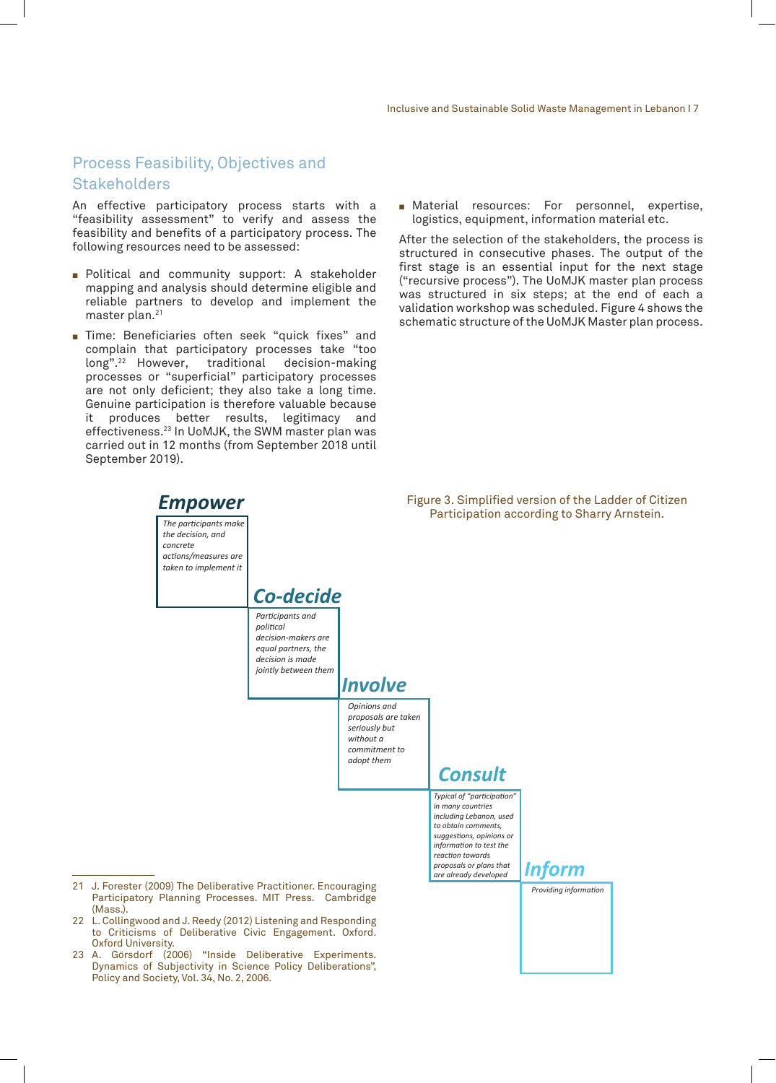### Process Feasibility, Objectives and **Stakeholders**

An effective participatory process starts with a "feasibility assessment" to verify and assess the feasibility and benefits of a participatory process. The following resources need to be assessed:

- **Political and community support: A stakeholder** mapping and analysis should determine eligible and reliable partners to develop and implement the master plan.<sup>21</sup>
- **Time: Beneficiaries often seek "quick fixes" and** complain that participatory processes take "too<br>long".<sup>22</sup> However, traditional decision-making long".<sup>22</sup> However, traditional processes or "superficial" participatory processes are not only deficient; they also take a long time. Genuine participation is therefore valuable because it produces better results, legitimacy and effectiveness.23 In UoMJK, the SWM master plan was carried out in 12 months (from September 2018 until September 2019).
- **E** Material resources: For personnel, expertise, logistics, equipment, information material etc.

After the selection of the stakeholders, the process is structured in consecutive phases. The output of the first stage is an essential input for the next stage ("recursive process"). The UoMJK master plan process was structured in six steps; at the end of each a validation workshop was scheduled. Figure 4 shows the schematic structure of the UoMJK Master plan process.

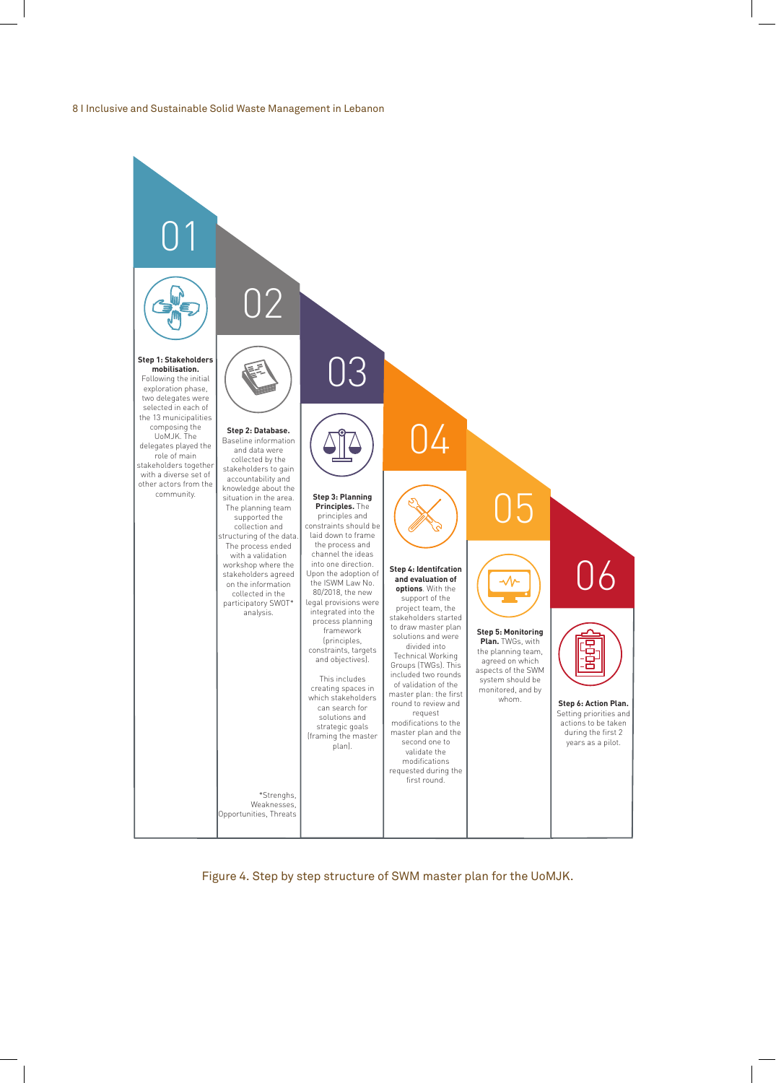

Figure 4. Step by step structure of SWM master plan for the UoMJK.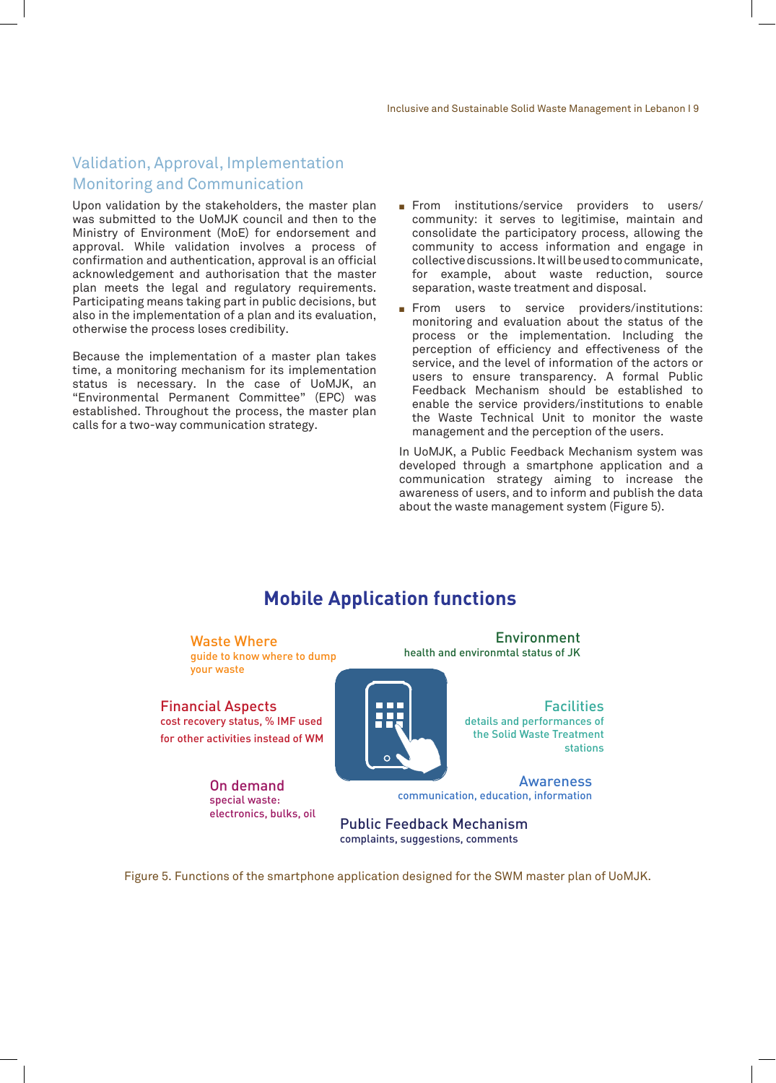# Validation, Approval, Implementation Monitoring and Communication

Upon validation by the stakeholders, the master plan was submitted to the UoMJK council and then to the Ministry of Environment (MoE) for endorsement and approval. While validation involves a process of confirmation and authentication, approval is an official acknowledgement and authorisation that the master plan meets the legal and regulatory requirements. Participating means taking part in public decisions, but also in the implementation of a plan and its evaluation, otherwise the process loses credibility.

Because the implementation of a master plan takes time, a monitoring mechanism for its implementation status is necessary. In the case of UoMJK, an "Environmental Permanent Committee" (EPC) was established. Throughout the process, the master plan calls for a two-way communication strategy.

- From institutions/service providers to users/ community: it serves to legitimise, maintain and consolidate the participatory process, allowing the community to access information and engage in collective discussions. It will be used to communicate, for example, about waste reduction, source separation, waste treatment and disposal.
- From users to service providers/institutions: monitoring and evaluation about the status of the process or the implementation. Including the perception of efficiency and effectiveness of the service, and the level of information of the actors or users to ensure transparency. A formal Public Feedback Mechanism should be established to enable the service providers/institutions to enable the Waste Technical Unit to monitor the waste management and the perception of the users.

In UoMJK, a Public Feedback Mechanism system was developed through a smartphone application and a communication strategy aiming to increase the awareness of users, and to inform and publish the data about the waste management system (Figure 5).

# **Mobile Application functions**

Waste Where guide to know where to dump your waste

Financial Aspects cost recovery status, % IMF used for other activities instead of WM

> On demand special waste: electronics, bulks, oil

Environment health and environmtal status of JK

> **Facilities** details and performances of the Solid Waste Treatment stations

Awareness communication, education, information

Public Feedback Mechanism complaints, suggestions, comments

Figure 5. Functions of the smartphone application designed for the SWM master plan of UoMJK.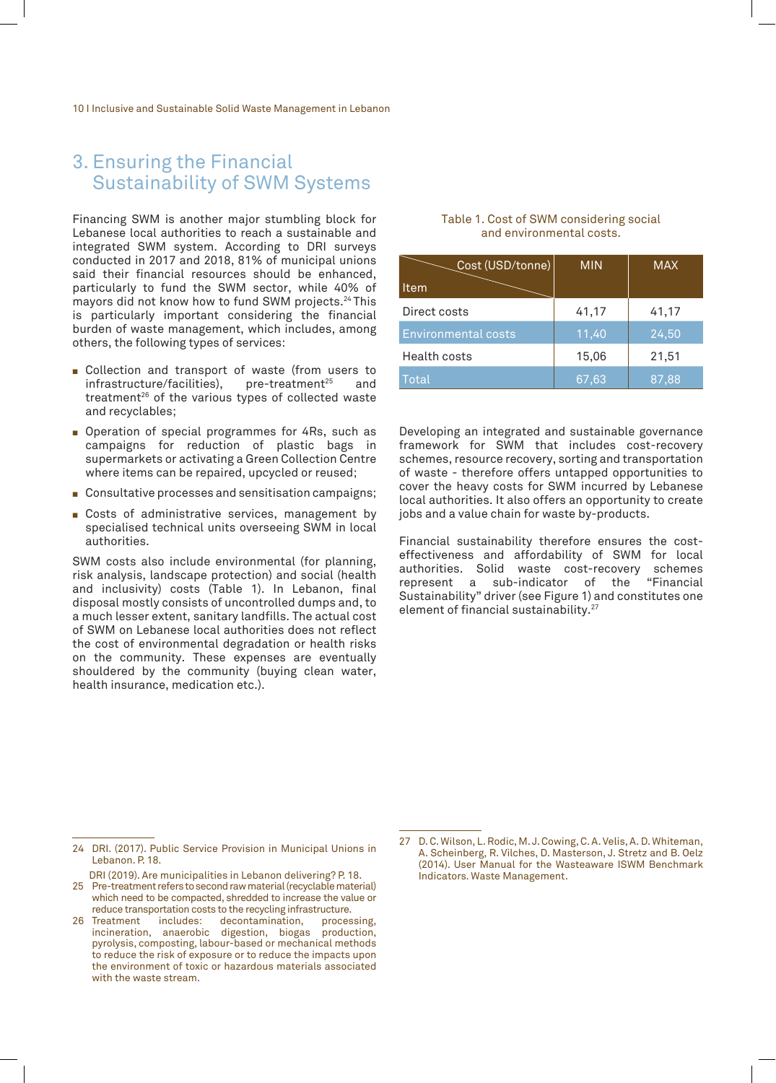# 3. Ensuring the Financial Sustainability of SWM Systems

Financing SWM is another major stumbling block for Lebanese local authorities to reach a sustainable and integrated SWM system. According to DRI surveys conducted in 2017 and 2018, 81% of municipal unions said their financial resources should be enhanced, particularly to fund the SWM sector, while 40% of mayors did not know how to fund SWM projects.24 This is particularly important considering the financial burden of waste management, which includes, among others, the following types of services:

- Gollection and transport of waste (from users to infrastructure/facilities), pre-treatment<sup>25</sup> and infrastructure/facilities), treatment<sup>26</sup> of the various types of collected waste and recyclables;
- **Dearmal** Operation of special programmes for 4Rs, such as campaigns for reduction of plastic bags in supermarkets or activating a Green Collection Centre where items can be repaired, upcycled or reused;
- Consultative processes and sensitisation campaigns;
- Gosts of administrative services, management by specialised technical units overseeing SWM in local authorities.

SWM costs also include environmental (for planning, risk analysis, landscape protection) and social (health and inclusivity) costs (Table 1). In Lebanon, final disposal mostly consists of uncontrolled dumps and, to a much lesser extent, sanitary landfills. The actual cost of SWM on Lebanese local authorities does not reflect the cost of environmental degradation or health risks on the community. These expenses are eventually shouldered by the community (buying clean water, health insurance, medication etc.).

#### Table 1. Cost of SWM considering social and environmental costs.

| Cost (USD/tonne)           | <b>MIN</b> | <b>MAX</b> |
|----------------------------|------------|------------|
| Item                       |            |            |
| Direct costs               | 41,17      | 41,17      |
| <b>Environmental costs</b> | 11,40      | 24,50      |
| Health costs               | 15,06      | 21,51      |
| Total                      | 67,63      | 87,88      |

Developing an integrated and sustainable governance framework for SWM that includes cost-recovery schemes, resource recovery, sorting and transportation of waste - therefore offers untapped opportunities to cover the heavy costs for SWM incurred by Lebanese local authorities. It also offers an opportunity to create jobs and a value chain for waste by-products.

Financial sustainability therefore ensures the costeffectiveness and affordability of SWM for local authorities. Solid waste cost-recovery schemes<br>represent a sub-indicator of the "Financial represent a sub-indicator of the Sustainability" driver (see Figure 1) and constitutes one element of financial sustainability.27

<sup>24</sup> DRI. (2017). Public Service Provision in Municipal Unions in Lebanon. P. 18.

DRI (2019). Are municipalities in Lebanon delivering? P. 18.

<sup>25</sup> Pre-treatment refers to second raw material (recyclable material) which need to be compacted, shredded to increase the value or reduce transportation costs to the recycling infrastructure.

<sup>26</sup> Treatment includes: decontamination, processing, incineration, anaerobic digestion, biogas production, pyrolysis, composting, labour-based or mechanical methods to reduce the risk of exposure or to reduce the impacts upon the environment of toxic or hazardous materials associated with the waste stream.

<sup>27</sup> D. C. Wilson, L. Rodic, M. J. Cowing, C. A. Velis, A. D. Whiteman, A. Scheinberg, R. Vilches, D. Masterson, J. Stretz and B. Oelz (2014). User Manual for the Wasteaware ISWM Benchmark Indicators. Waste Management.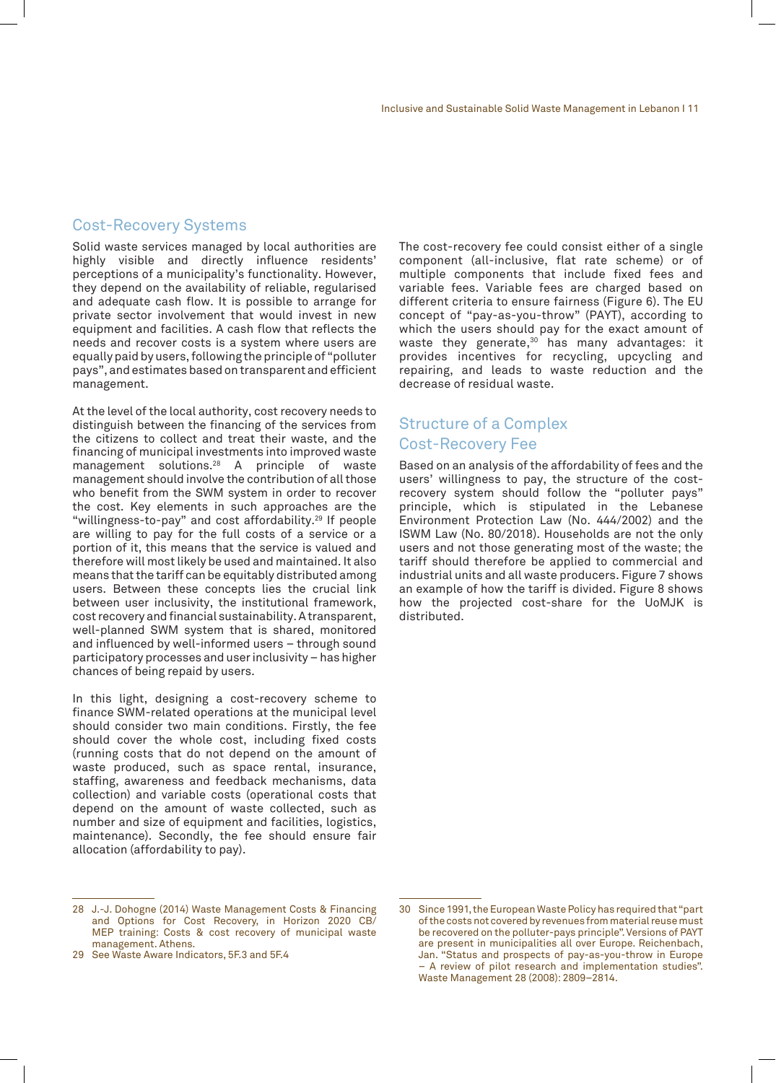#### Cost-Recovery Systems

Solid waste services managed by local authorities are highly visible and directly influence residents' perceptions of a municipality's functionality. However, they depend on the availability of reliable, regularised and adequate cash flow. It is possible to arrange for private sector involvement that would invest in new equipment and facilities. A cash flow that reflects the needs and recover costs is a system where users are equally paid by users, following the principle of "polluter pays", and estimates based on transparent and efficient management.

At the level of the local authority, cost recovery needs to distinguish between the financing of the services from the citizens to collect and treat their waste, and the financing of municipal investments into improved waste management solutions.28 A principle of waste management should involve the contribution of all those who benefit from the SWM system in order to recover the cost. Key elements in such approaches are the "willingness-to-pay" and cost affordability.<sup>29</sup> If people are willing to pay for the full costs of a service or a portion of it, this means that the service is valued and therefore will most likely be used and maintained. It also means that the tariff can be equitably distributed among users. Between these concepts lies the crucial link between user inclusivity, the institutional framework, cost recovery and financial sustainability. A transparent, well-planned SWM system that is shared, monitored and influenced by well-informed users – through sound participatory processes and user inclusivity – has higher chances of being repaid by users.

In this light, designing a cost-recovery scheme to finance SWM-related operations at the municipal level should consider two main conditions. Firstly, the fee should cover the whole cost, including fixed costs (running costs that do not depend on the amount of waste produced, such as space rental, insurance, staffing, awareness and feedback mechanisms, data collection) and variable costs (operational costs that depend on the amount of waste collected, such as number and size of equipment and facilities, logistics, maintenance). Secondly, the fee should ensure fair allocation (affordability to pay).

The cost-recovery fee could consist either of a single component (all-inclusive, flat rate scheme) or of multiple components that include fixed fees and variable fees. Variable fees are charged based on different criteria to ensure fairness (Figure 6). The EU concept of "pay-as-you-throw" (PAYT), according to which the users should pay for the exact amount of waste they generate,<sup>30</sup> has many advantages: it provides incentives for recycling, upcycling and repairing, and leads to waste reduction and the decrease of residual waste.

### Structure of a Complex Cost-Recovery Fee

Based on an analysis of the affordability of fees and the users' willingness to pay, the structure of the costrecovery system should follow the "polluter pays" principle, which is stipulated in the Lebanese Environment Protection Law (No. 444/2002) and the ISWM Law (No. 80/2018). Households are not the only users and not those generating most of the waste; the tariff should therefore be applied to commercial and industrial units and all waste producers. Figure 7 shows an example of how the tariff is divided. Figure 8 shows how the projected cost-share for the UoMJK is distributed.

<sup>28</sup> J.-J. Dohogne (2014) Waste Management Costs & Financing and Options for Cost Recovery, in Horizon 2020 CB/ MEP training: Costs & cost recovery of municipal waste management. Athens.

<sup>29</sup> See Waste Aware Indicators, 5F.3 and 5F.4

<sup>30</sup> Since 1991, the European Waste Policy has required that "part of the costs not covered by revenues from material reuse must be recovered on the polluter-pays principle". Versions of PAYT are present in municipalities all over Europe. Reichenbach, Jan. "Status and prospects of pay-as-you-throw in Europe – A review of pilot research and implementation studies". Waste Management 28 (2008): 2809–2814.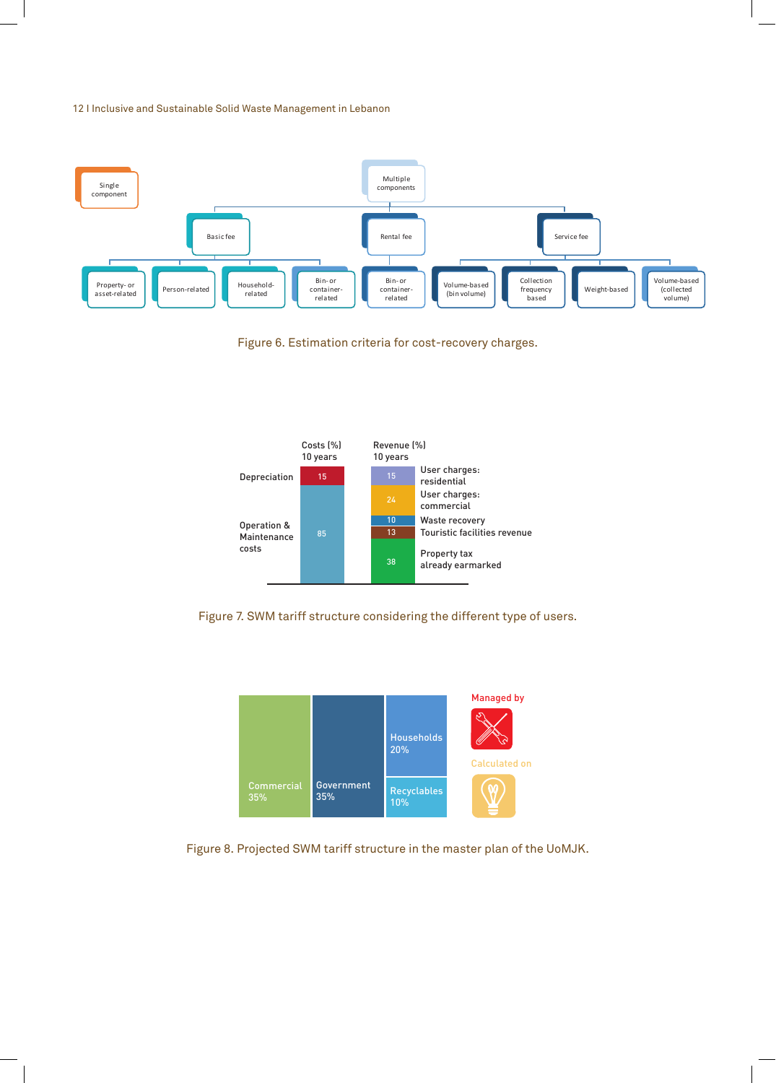

Figure 6. Estimation criteria for cost-recovery charges.







Figure 8. Projected SWM tariff structure in the master plan of the UoMJK.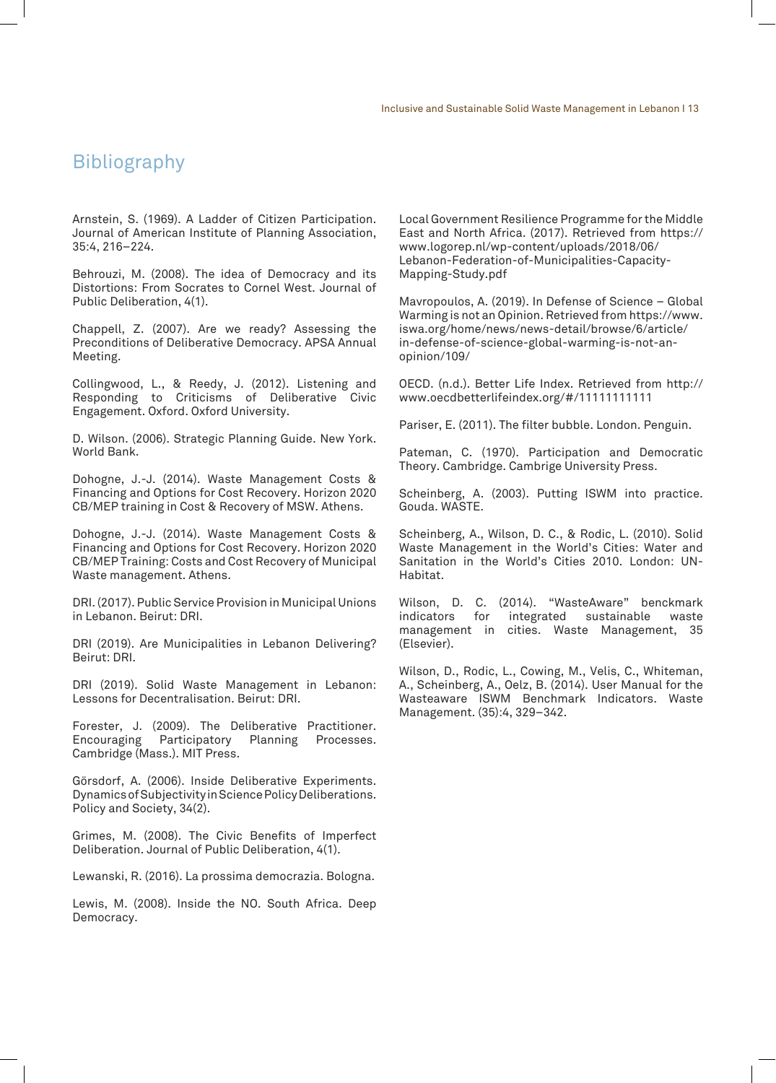# Bibliography

Arnstein, S. (1969). A Ladder of Citizen Participation. Journal of American Institute of Planning Association, 35:4, 216–224.

Behrouzi, M. (2008). The idea of Democracy and its Distortions: From Socrates to Cornel West. Journal of Public Deliberation, 4(1).

Chappell, Z. (2007). Are we ready? Assessing the Preconditions of Deliberative Democracy. APSA Annual Meeting.

Collingwood, L., & Reedy, J. (2012). Listening and Responding to Criticisms of Deliberative Civic Engagement. Oxford. Oxford University.

D. Wilson. (2006). Strategic Planning Guide. New York. World Bank.

Dohogne, J.-J. (2014). Waste Management Costs & Financing and Options for Cost Recovery. Horizon 2020 CB/MEP training in Cost & Recovery of MSW. Athens.

Dohogne, J.-J. (2014). Waste Management Costs & Financing and Options for Cost Recovery. Horizon 2020 CB/MEP Training: Costs and Cost Recovery of Municipal Waste management. Athens.

DRI. (2017). Public Service Provision in Municipal Unions in Lebanon. Beirut: DRI.

DRI (2019). Are Municipalities in Lebanon Delivering? Beirut: DRI.

DRI (2019). Solid Waste Management in Lebanon: Lessons for Decentralisation. Beirut: DRI.

Forester, J. (2009). The Deliberative Practitioner. Encouraging Participatory Planning Processes. Cambridge (Mass.). MIT Press.

Görsdorf, A. (2006). Inside Deliberative Experiments. Dynamics of Subjectivity in Science Policy Deliberations. Policy and Society, 34(2).

Grimes, M. (2008). The Civic Benefits of Imperfect Deliberation. Journal of Public Deliberation, 4(1).

Lewanski, R. (2016). La prossima democrazia. Bologna.

Lewis, M. (2008). Inside the NO. South Africa. Deep Democracy.

Local Government Resilience Programme for the Middle East and North Africa. (2017). Retrieved from https:// www.logorep.nl/wp-content/uploads/2018/06/ Lebanon-Federation-of-Municipalities-Capacity-Mapping-Study.pdf

Mavropoulos, A. (2019). In Defense of Science – Global Warming is not an Opinion. Retrieved from https://www. iswa.org/home/news/news-detail/browse/6/article/ in-defense-of-science-global-warming-is-not-anopinion/109/

OECD. (n.d.). Better Life Index. Retrieved from http:// www.oecdbetterlifeindex.org/#/11111111111

Pariser, E. (2011). The filter bubble. London. Penguin.

Pateman, C. (1970). Participation and Democratic Theory. Cambridge. Cambrige University Press.

Scheinberg, A. (2003). Putting ISWM into practice. Gouda. WASTE.

Scheinberg, A., Wilson, D. C., & Rodic, L. (2010). Solid Waste Management in the World's Cities: Water and Sanitation in the World's Cities 2010. London: UN-Habitat.

Wilson, D. C. (2014). "WasteAware" benckmark indicators for integrated sustainable waste management in cities. Waste Management, 35 (Elsevier).

Wilson, D., Rodic, L., Cowing, M., Velis, C., Whiteman, A., Scheinberg, A., Oelz, B. (2014). User Manual for the Wasteaware ISWM Benchmark Indicators. Waste Management. (35):4, 329–342.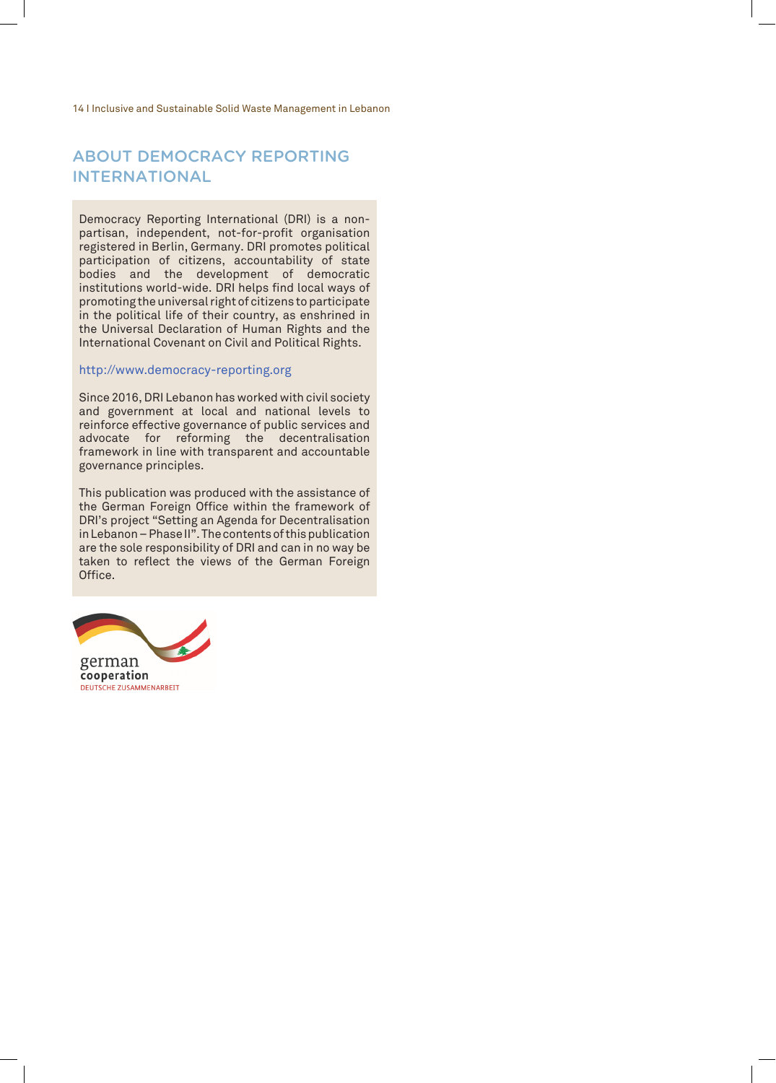### ABOUT DEMOCRACY REPORTING INTERNATIONAL

Democracy Reporting International (DRI) is a nonpartisan, independent, not-for-profit organisation registered in Berlin, Germany. DRI promotes political participation of citizens, accountability of state bodies and the development of democratic institutions world-wide. DRI helps find local ways of promoting the universal right of citizens to participate in the political life of their country, as enshrined in the Universal Declaration of Human Rights and the International Covenant on Civil and Political Rights.

#### http://www.democracy-reporting.org

Since 2016, DRI Lebanon has worked with civil society and government at local and national levels to reinforce effective governance of public services and advocate for reforming the decentralisation framework in line with transparent and accountable governance principles.

This publication was produced with the assistance of the German Foreign Office within the framework of DRI's project "Setting an Agenda for Decentralisation in Lebanon – Phase II". The contents of this publication are the sole responsibility of DRI and can in no way be taken to reflect the views of the German Foreign Office.